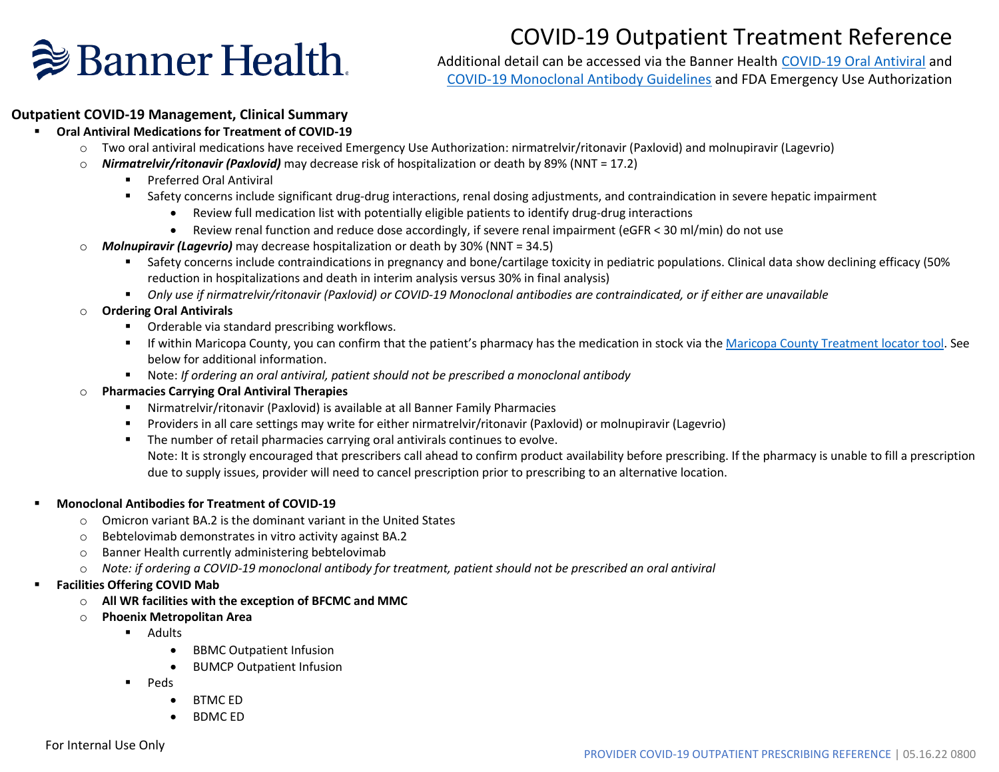# COVID-19 Outpatient Treatment Reference



Additional detail can be accessed via the Banner Health [COVID-19 Oral Antiviral](https://bannerhealth.sharepoint.com/teams/Covid-19-Documents/Shared%20Documents/Forms/AllItems.aspx?id=%2Fteams%2FCovid%2D19%2DDocuments%2FShared%20Documents%2FClinical%2FCOVID%2D19%20Pharmacy%20Guidelines%2FBanner%20Health%20COVID%2D19%20Oral%20Antiviral%20Guidelines%2Epdf&parent=%2Fteams%2FCovid%2D19%2DDocuments%2FShared%20Documents%2FClinical%2FCOVID%2D19%20Pharmacy%20Guidelines&p=true) and [COVID-19 Monoclonal Antibody Guidelines](https://bannerhealth.sharepoint.com/teams/Covid-19-Documents/Shared%20Documents/Forms/AllItems.aspx?id=%2Fteams%2FCovid%2D19%2DDocuments%2FShared%20Documents%2FClinical%2FCOVID%2D19%20Pharmacy%20Guidelines%2FBanner%20Health%20COVID%2D19%20Monoclonal%20Antibody%20Guidelines%2Epdf&parent=%2Fteams%2FCovid%2D19%2DDocuments%2FShared%20Documents%2FClinical%2FCOVID%2D19%20Pharmacy%20Guidelines) and FDA Emergency Use Authorization

#### **Outpatient COVID-19 Management, Clinical Summary**

- **Oral Antiviral Medications for Treatment of COVID-19** 
	- o Two oral antiviral medications have received Emergency Use Authorization: nirmatrelvir/ritonavir (Paxlovid) and molnupiravir (Lagevrio)
	- o *Nirmatrelvir/ritonavir (Paxlovid)* may decrease risk of hospitalization or death by 89% (NNT = 17.2)
		- Preferred Oral Antiviral
		- Safety concerns include significant drug-drug interactions, renal dosing adjustments, and contraindication in severe hepatic impairment
			- Review full medication list with potentially eligible patients to identify drug-drug interactions
			- Review renal function and reduce dose accordingly, if severe renal impairment (eGFR < 30 ml/min) do not use
	- o *Molnupiravir (Lagevrio)* may decrease hospitalization or death by 30% (NNT = 34.5)
		- Safety concerns include contraindications in pregnancy and bone/cartilage toxicity in pediatric populations. Clinical data show declining efficacy (50% reduction in hospitalizations and death in interim analysis versus 30% in final analysis)
		- *Only use if nirmatrelvir/ritonavir (Paxlovid) or COVID-19 Monoclonal antibodies are contraindicated, or if either are unavailable*
	- o **Ordering Oral Antivirals**
		- Orderable via standard prescribing workflows.
		- **EXTEN THE IF Within Maricopa County, you can confirm that the patient's pharmacy has the medication in stock via th[e Maricopa County Treatment locator tool.](https://www.azdhs.gov/covid19/index.php#find-treatment) See** below for additional information.
		- Note: *If ordering an oral antiviral, patient should not be prescribed a monoclonal antibody*
	- o **Pharmacies Carrying Oral Antiviral Therapies**
		- Nirmatrelvir/ritonavir (Paxlovid) is available at all Banner Family Pharmacies
		- Providers in all care settings may write for either nirmatrelvir/ritonavir (Paxlovid) or molnupiravir (Lagevrio)
		- The number of retail pharmacies carrying oral antivirals continues to evolve.

Note: It is strongly encouraged that prescribers call ahead to confirm product availability before prescribing. If the pharmacy is unable to fill a prescription due to supply issues, provider will need to cancel prescription prior to prescribing to an alternative location.

#### ▪ **Monoclonal Antibodies for Treatment of COVID-19**

- $\circ$  Omicron variant BA.2 is the dominant variant in the United States
- o Bebtelovimab demonstrates in vitro activity against BA.2
- o Banner Health currently administering bebtelovimab
- o *Note: if ordering a COVID-19 monoclonal antibody for treatment, patient should not be prescribed an oral antiviral*

#### **Facilities Offering COVID Mab**

- o **All WR facilities with the exception of BFCMC and MMC**
- o **Phoenix Metropolitan Area**
	- Adults
		- BBMC Outpatient Infusion
		- BUMCP Outpatient Infusion
	- Peds
		- BTMC ED
		- BDMC ED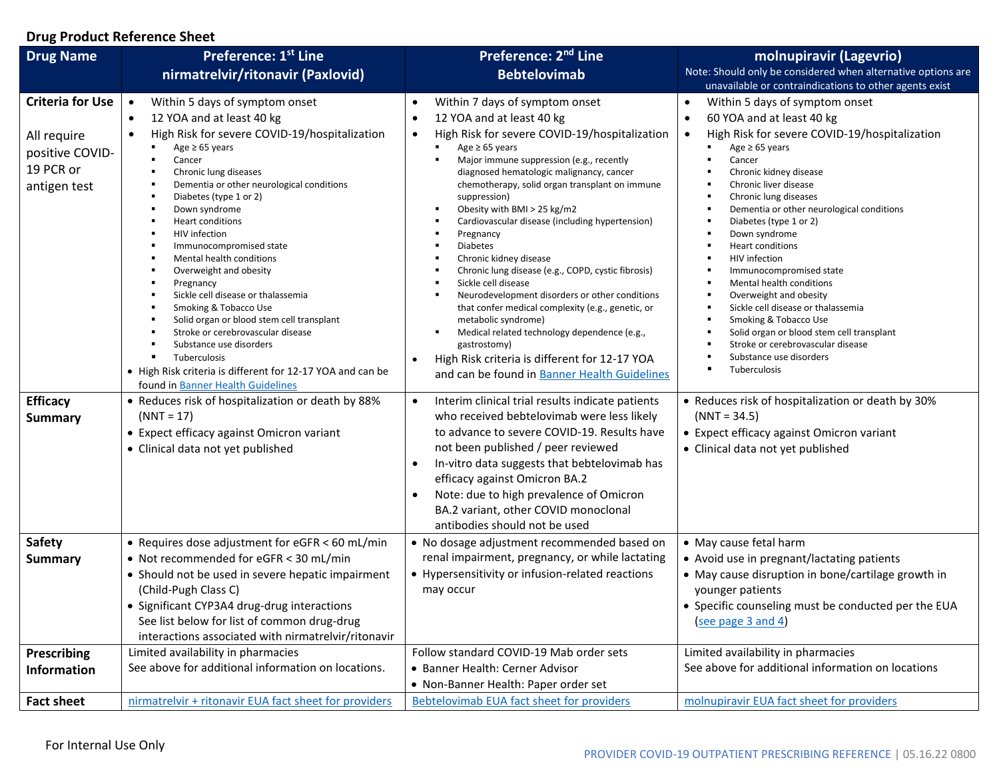### **Drug Product Reference Sheet**

| <b>Drug Name</b>                                                                       | Preference: 1st Line                                                                                                                                                                                                                                                                                                                                                                                                                                                                                                                                                                                                                                                                                                              | Preference: 2 <sup>nd</sup> Line                                                                                                                                                                                                                                                                                                                                                                                                                                                                                                                                                                                                                                                                                                                                                                                                                                                                                       | molnupiravir (Lagevrio)                                                                                                                                                                                                                                                                                                                                                                                                                                                                                                                                                                                                                                                    |
|----------------------------------------------------------------------------------------|-----------------------------------------------------------------------------------------------------------------------------------------------------------------------------------------------------------------------------------------------------------------------------------------------------------------------------------------------------------------------------------------------------------------------------------------------------------------------------------------------------------------------------------------------------------------------------------------------------------------------------------------------------------------------------------------------------------------------------------|------------------------------------------------------------------------------------------------------------------------------------------------------------------------------------------------------------------------------------------------------------------------------------------------------------------------------------------------------------------------------------------------------------------------------------------------------------------------------------------------------------------------------------------------------------------------------------------------------------------------------------------------------------------------------------------------------------------------------------------------------------------------------------------------------------------------------------------------------------------------------------------------------------------------|----------------------------------------------------------------------------------------------------------------------------------------------------------------------------------------------------------------------------------------------------------------------------------------------------------------------------------------------------------------------------------------------------------------------------------------------------------------------------------------------------------------------------------------------------------------------------------------------------------------------------------------------------------------------------|
|                                                                                        | nirmatrelvir/ritonavir (Paxlovid)                                                                                                                                                                                                                                                                                                                                                                                                                                                                                                                                                                                                                                                                                                 | <b>Bebtelovimab</b>                                                                                                                                                                                                                                                                                                                                                                                                                                                                                                                                                                                                                                                                                                                                                                                                                                                                                                    | Note: Should only be considered when alternative options are<br>unavailable or contraindications to other agents exist                                                                                                                                                                                                                                                                                                                                                                                                                                                                                                                                                     |
| <b>Criteria for Use</b><br>All require<br>positive COVID-<br>19 PCR or<br>antigen test | Within 5 days of symptom onset<br>12 YOA and at least 40 kg<br>$\bullet$<br>High Risk for severe COVID-19/hospitalization<br>$\bullet$<br>Age $\geq 65$ years<br>Cancer<br>Chronic lung diseases<br>Dementia or other neurological conditions<br>Diabetes (type 1 or 2)<br>Down syndrome<br><b>Heart conditions</b><br>HIV infection<br>Immunocompromised state<br>Mental health conditions<br>Overweight and obesity<br>Pregnancy<br>Sickle cell disease or thalassemia<br>Smoking & Tobacco Use<br>Solid organ or blood stem cell transplant<br>Stroke or cerebrovascular disease<br>Substance use disorders<br>Tuberculosis<br>• High Risk criteria is different for 12-17 YOA and can be<br>found in Banner Health Guidelines | Within 7 days of symptom onset<br>12 YOA and at least 40 kg<br>$\bullet$<br>High Risk for severe COVID-19/hospitalization<br>$\bullet$<br>Age $\geq 65$ years<br>Major immune suppression (e.g., recently<br>$\blacksquare$<br>diagnosed hematologic malignancy, cancer<br>chemotherapy, solid organ transplant on immune<br>suppression)<br>Obesity with BMI > 25 kg/m2<br>٠<br>Cardiovascular disease (including hypertension)<br>٠<br>٠<br>Pregnancy<br><b>Diabetes</b><br>٠<br>Chronic kidney disease<br>Chronic lung disease (e.g., COPD, cystic fibrosis)<br>٠<br>Sickle cell disease<br>٠<br>Neurodevelopment disorders or other conditions<br>٠<br>that confer medical complexity (e.g., genetic, or<br>metabolic syndrome)<br>Medical related technology dependence (e.g.,<br>٠<br>gastrostomy)<br>High Risk criteria is different for 12-17 YOA<br>$\bullet$<br>and can be found in Banner Health Guidelines | Within 5 days of symptom onset<br>$\bullet$<br>60 YOA and at least 40 kg<br>$\bullet$<br>High Risk for severe COVID-19/hospitalization<br>$\bullet$<br>Age $\geq$ 65 years<br>Cancer<br>Chronic kidney disease<br>Chronic liver disease<br>Chronic lung diseases<br>Dementia or other neurological conditions<br>Diabetes (type 1 or 2)<br>Down syndrome<br>Heart conditions<br>HIV infection<br>Immunocompromised state<br>Mental health conditions<br>Overweight and obesity<br>Sickle cell disease or thalassemia<br>Smoking & Tobacco Use<br>Solid organ or blood stem cell transplant<br>Stroke or cerebrovascular disease<br>Substance use disorders<br>Tuberculosis |
| <b>Efficacy</b><br><b>Summary</b>                                                      | • Reduces risk of hospitalization or death by 88%<br>$(NNT = 17)$<br>• Expect efficacy against Omicron variant<br>• Clinical data not yet published                                                                                                                                                                                                                                                                                                                                                                                                                                                                                                                                                                               | Interim clinical trial results indicate patients<br>$\bullet$<br>who received bebtelovimab were less likely<br>to advance to severe COVID-19. Results have<br>not been published / peer reviewed<br>In-vitro data suggests that bebtelovimab has<br>efficacy against Omicron BA.2<br>Note: due to high prevalence of Omicron<br>BA.2 variant, other COVID monoclonal<br>antibodies should not be used                                                                                                                                                                                                                                                                                                                                                                                                                                                                                                                  | • Reduces risk of hospitalization or death by 30%<br>$(NNT = 34.5)$<br>• Expect efficacy against Omicron variant<br>• Clinical data not yet published                                                                                                                                                                                                                                                                                                                                                                                                                                                                                                                      |
| <b>Safety</b><br><b>Summary</b>                                                        | • Requires dose adjustment for eGFR < 60 mL/min<br>• Not recommended for eGFR < 30 mL/min<br>• Should not be used in severe hepatic impairment<br>(Child-Pugh Class C)<br>• Significant CYP3A4 drug-drug interactions<br>See list below for list of common drug-drug<br>interactions associated with nirmatrelvir/ritonavir                                                                                                                                                                                                                                                                                                                                                                                                       | • No dosage adjustment recommended based on<br>renal impairment, pregnancy, or while lactating<br>• Hypersensitivity or infusion-related reactions<br>may occur                                                                                                                                                                                                                                                                                                                                                                                                                                                                                                                                                                                                                                                                                                                                                        | • May cause fetal harm<br>• Avoid use in pregnant/lactating patients<br>• May cause disruption in bone/cartilage growth in<br>younger patients<br>• Specific counseling must be conducted per the EUA<br>(see page 3 and 4)                                                                                                                                                                                                                                                                                                                                                                                                                                                |
| Prescribing<br><b>Information</b>                                                      | Limited availability in pharmacies<br>See above for additional information on locations.                                                                                                                                                                                                                                                                                                                                                                                                                                                                                                                                                                                                                                          | Follow standard COVID-19 Mab order sets<br>• Banner Health: Cerner Advisor<br>• Non-Banner Health: Paper order set                                                                                                                                                                                                                                                                                                                                                                                                                                                                                                                                                                                                                                                                                                                                                                                                     | Limited availability in pharmacies<br>See above for additional information on locations                                                                                                                                                                                                                                                                                                                                                                                                                                                                                                                                                                                    |
| <b>Fact sheet</b>                                                                      | nirmatrelvir + ritonavir EUA fact sheet for providers                                                                                                                                                                                                                                                                                                                                                                                                                                                                                                                                                                                                                                                                             | Bebtelovimab EUA fact sheet for providers                                                                                                                                                                                                                                                                                                                                                                                                                                                                                                                                                                                                                                                                                                                                                                                                                                                                              | molnupiravir EUA fact sheet for providers                                                                                                                                                                                                                                                                                                                                                                                                                                                                                                                                                                                                                                  |